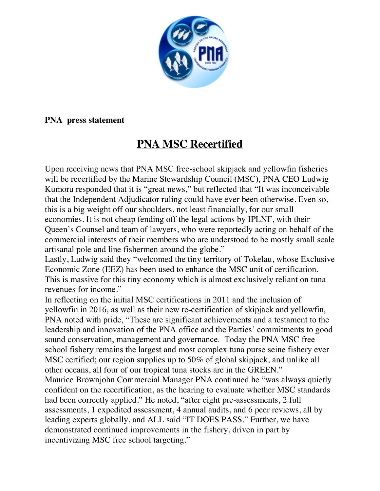

## **PNA press statement**

## **PNA MSC Recertified**

Upon receiving news that PNA MSC free-school skipjack and yellowfin fisheries will be recertified by the Marine Stewardship Council (MSC), PNA CEO Ludwig Kumoru responded that it is "great news," but reflected that "It was inconceivable that the Independent Adjudicator ruling could have ever been otherwise. Even so, this is a big weight off our shoulders, not least financially, for our small economies. It is not cheap fending off the legal actions by IPLNF, with their Queen's Counsel and team of lawyers, who were reportedly acting on behalf of the commercial interests of their members who are understood to be mostly small scale artisanal pole and line fishermen around the globe."

Lastly, Ludwig said they "welcomed the tiny territory of Tokelau, whose Exclusive Economic Zone (EEZ) has been used to enhance the MSC unit of certification. This is massive for this tiny economy which is almost exclusively reliant on tuna revenues for income."

In reflecting on the initial MSC certifications in 2011 and the inclusion of yellowfin in 2016, as well as their new re-certification of skipjack and yellowfin, PNA noted with pride, "These are significant achievements and a testament to the leadership and innovation of the PNA office and the Parties' commitments to good sound conservation, management and governance. Today the PNA MSC free school fishery remains the largest and most complex tuna purse seine fishery ever MSC certified; our region supplies up to 50% of global skipjack, and unlike all other oceans, all four of our tropical tuna stocks are in the GREEN." Maurice Brownjohn Commercial Manager PNA continued he "was always quietly confident on the recertification, as the hearing to evaluate whether MSC standards had been correctly applied." He noted, "after eight pre-assessments, 2 full assessments, 1 expedited assessment, 4 annual audits, and 6 peer reviews, all by leading experts globally, and ALL said "IT DOES PASS." Further, we have demonstrated continued improvements in the fishery, driven in part by incentivizing MSC free school targeting."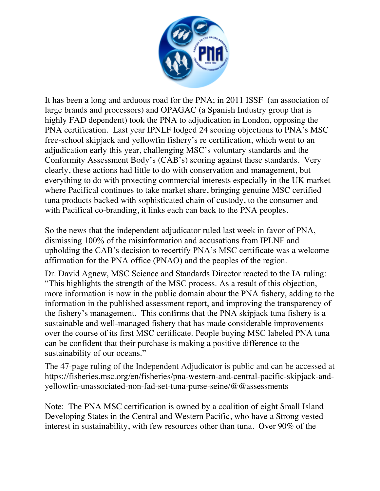

It has been a long and arduous road for the PNA; in 2011 ISSF (an association of large brands and processors) and OPAGAC (a Spanish Industry group that is highly FAD dependent) took the PNA to adjudication in London, opposing the PNA certification. Last year IPNLF lodged 24 scoring objections to PNA's MSC free-school skipjack and yellowfin fishery's re certification, which went to an adjudication early this year, challenging MSC's voluntary standards and the Conformity Assessment Body's (CAB's) scoring against these standards. Very clearly, these actions had little to do with conservation and management, but everything to do with protecting commercial interests especially in the UK market where Pacifical continues to take market share, bringing genuine MSC certified tuna products backed with sophisticated chain of custody, to the consumer and with Pacifical co-branding, it links each can back to the PNA peoples.

So the news that the independent adjudicator ruled last week in favor of PNA, dismissing 100% of the misinformation and accusations from IPLNF and upholding the CAB's decision to recertify PNA's MSC certificate was a welcome affirmation for the PNA office (PNAO) and the peoples of the region.

Dr. David Agnew, MSC Science and Standards Director reacted to the IA ruling: "This highlights the strength of the MSC process. As a result of this objection, more information is now in the public domain about the PNA fishery, adding to the information in the published assessment report, and improving the transparency of the fishery's management. This confirms that the PNA skipjack tuna fishery is a sustainable and well-managed fishery that has made considerable improvements over the course of its first MSC certificate. People buying MSC labeled PNA tuna can be confident that their purchase is making a positive difference to the sustainability of our oceans."

The 47-page ruling of the Independent Adjudicator is public and can be accessed at https://fisheries.msc.org/en/fisheries/pna-western-and-central-pacific-skipjack-andyellowfin-unassociated-non-fad-set-tuna-purse-seine/@@assessments

Note: The PNA MSC certification is owned by a coalition of eight Small Island Developing States in the Central and Western Pacific, who have a Strong vested interest in sustainability, with few resources other than tuna. Over 90% of the